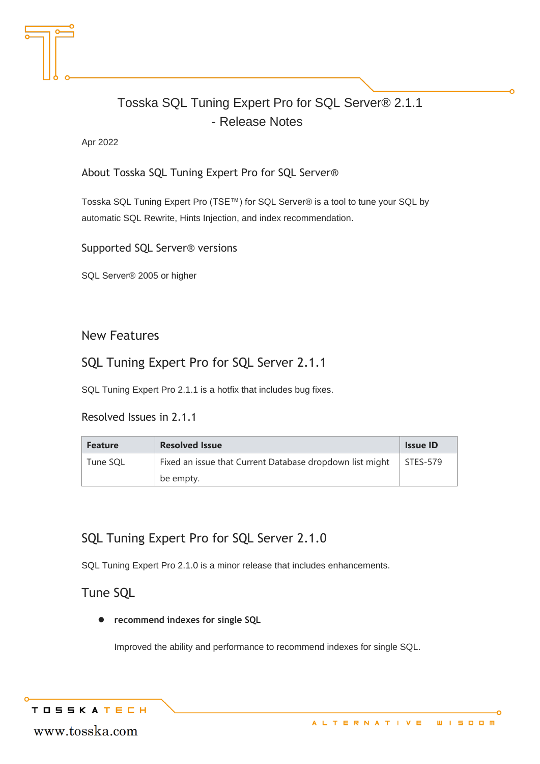# Tosska SQL Tuning Expert Pro for SQL Server® 2.1.1 - Release Notes

Apr 2022

About Tosska SQL Tuning Expert Pro for SQL Server®

Tosska SQL Tuning Expert Pro (TSE™) for SQL Server® is a tool to tune your SQL by automatic SQL Rewrite, Hints Injection, and index recommendation.

Supported SQL Server® versions

SQL Server® 2005 or higher

#### New Features

### SQL Tuning Expert Pro for SQL Server 2.1.1

SQL Tuning Expert Pro 2.1.1 is a hotfix that includes bug fixes.

#### Resolved Issues in 2.1.1

| <b>Feature</b> | <b>Resolved Issue</b>                                    | <b>Issue ID</b> |
|----------------|----------------------------------------------------------|-----------------|
| Tune SOL       | Fixed an issue that Current Database dropdown list might | STES-579        |
|                | be empty.                                                |                 |

### SQL Tuning Expert Pro for SQL Server 2.1.0

SQL Tuning Expert Pro 2.1.0 is a minor release that includes enhancements.

#### Tune SQL

⚫ **recommend indexes for single SQL**

Improved the ability and performance to recommend indexes for single SQL.

**TOSSKATECH** 

www.tosska.com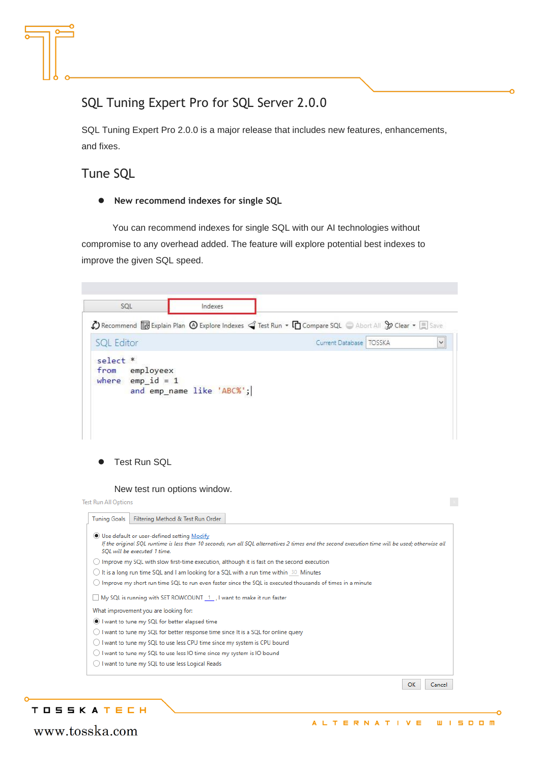### SQL Tuning Expert Pro for SQL Server 2.0.0

SQL Tuning Expert Pro 2.0.0 is a major release that includes new features, enhancements, and fixes.

#### Tune SQL

⚫ **New recommend indexes for single SQL**

You can recommend indexes for single SQL with our AI technologies without compromise to any overhead added. The feature will explore potential best indexes to improve the given SQL speed.

| SOL                                                                                                                                                                                                                                                                             | Indexes |                           |              |
|---------------------------------------------------------------------------------------------------------------------------------------------------------------------------------------------------------------------------------------------------------------------------------|---------|---------------------------|--------------|
| A Recommend <b>to</b> Explain Plan $\bigcirc$ Explore Indexes $\bigcirc$ Test Run $\cdot$ <b>In</b> Compare SQL $\rightarrow$ Abort All $\mathcal{X}$ Clear $\cdot$ <b>F</b> Save                                                                                               |         |                           |              |
| <b>SQL Editor</b>                                                                                                                                                                                                                                                               |         | Current Database   TOSSKA | $\checkmark$ |
| $self.*$<br>from<br>employeex<br>where $emp$ $id = 1$<br>and emp_name like 'ABC%';                                                                                                                                                                                              |         |                           |              |
| <b>Test Run SQL</b>                                                                                                                                                                                                                                                             |         |                           |              |
| New test run options window.<br><b>Test Run All Options</b>                                                                                                                                                                                                                     |         |                           |              |
| Filtering Method & Test Run Order<br>If the original SQL runtime is less than 10 seconds, run all SQL alternatives 2 times and the second execution time will be used; otherwise all                                                                                            |         |                           |              |
| SQL will be executed 1 time.                                                                                                                                                                                                                                                    |         |                           |              |
| <b>Tuning Goals</b><br>Use default or user-defined setting Modify<br>$\bigcirc$ Improve my SQL with slow first-time execution, although it is fast on the second execution<br>$\bigcirc$ It is a long run time SQL and I am looking for a SQL with a run time within 30 Minutes |         |                           |              |
| $\bigcirc$ Improve my short run time SQL to run even faster since the SQL is executed thousands of times in a minute                                                                                                                                                            |         |                           |              |
| My SQL is running with SET ROWCOUNT 1 , I want to make it run faster                                                                                                                                                                                                            |         |                           |              |
|                                                                                                                                                                                                                                                                                 |         |                           |              |
| What improvement you are looking for:                                                                                                                                                                                                                                           |         |                           |              |
| I want to tune my SQL for better elapsed time                                                                                                                                                                                                                                   |         |                           |              |
| $\bigcirc$ I want to tune my SQL for better response time since It is a SQL for online query                                                                                                                                                                                    |         |                           |              |
| $\bigcirc$ I want to tune my SQL to use less CPU time since my system is CPU bound                                                                                                                                                                                              |         |                           |              |
| $\bigcirc$ I want to tune my SQL to use less IO time since my system is IO bound<br>I want to tune my SQL to use less Logical Reads                                                                                                                                             |         |                           |              |
|                                                                                                                                                                                                                                                                                 |         |                           |              |

#### **TOSSKATECH**